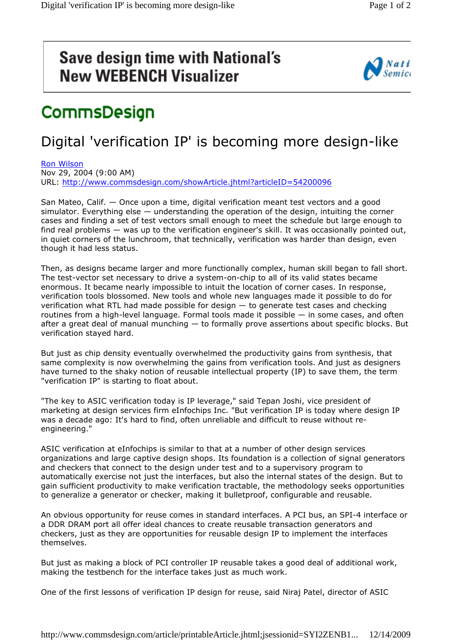## **Save design time with National's New WEBENCH Visualizer**



## CommsDesign

## Digital 'verification IP' is becoming more design-like

Ron Wilson Nov 29, 2004 (9:00 AM)

URL: http://www.commsdesign.com/showArticle.jhtml?articleID=54200096

San Mateo, Calif. — Once upon a time, digital verification meant test vectors and a good simulator. Everything else  $-$  understanding the operation of the design, intuiting the corner cases and finding a set of test vectors small enough to meet the schedule but large enough to find real problems — was up to the verification engineer's skill. It was occasionally pointed out, in quiet corners of the lunchroom, that technically, verification was harder than design, even though it had less status.

Then, as designs became larger and more functionally complex, human skill began to fall short. The test-vector set necessary to drive a system-on-chip to all of its valid states became enormous. It became nearly impossible to intuit the location of corner cases. In response, verification tools blossomed. New tools and whole new languages made it possible to do for verification what RTL had made possible for design — to generate test cases and checking routines from a high-level language. Formal tools made it possible — in some cases, and often after a great deal of manual munching — to formally prove assertions about specific blocks. But verification stayed hard.

But just as chip density eventually overwhelmed the productivity gains from synthesis, that same complexity is now overwhelming the gains from verification tools. And just as designers have turned to the shaky notion of reusable intellectual property (IP) to save them, the term "verification IP" is starting to float about.

"The key to ASIC verification today is IP leverage," said Tepan Joshi, vice president of marketing at design services firm eInfochips Inc. "But verification IP is today where design IP was a decade ago: It's hard to find, often unreliable and difficult to reuse without reengineering."

ASIC verification at eInfochips is similar to that at a number of other design services organizations and large captive design shops. Its foundation is a collection of signal generators and checkers that connect to the design under test and to a supervisory program to automatically exercise not just the interfaces, but also the internal states of the design. But to gain sufficient productivity to make verification tractable, the methodology seeks opportunities to generalize a generator or checker, making it bulletproof, configurable and reusable.

An obvious opportunity for reuse comes in standard interfaces. A PCI bus, an SPI-4 interface or a DDR DRAM port all offer ideal chances to create reusable transaction generators and checkers, just as they are opportunities for reusable design IP to implement the interfaces themselves.

But just as making a block of PCI controller IP reusable takes a good deal of additional work, making the testbench for the interface takes just as much work.

One of the first lessons of verification IP design for reuse, said Niraj Patel, director of ASIC